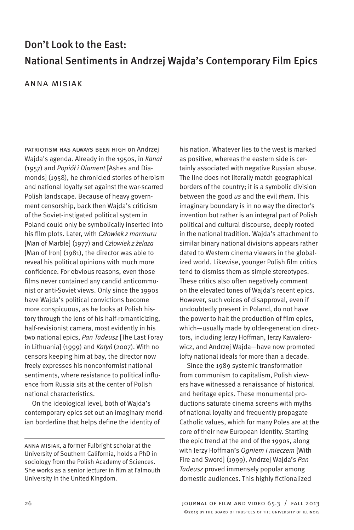# Don't Look to the East: National Sentiments in Andrzej Wajda's Contemporary Film Epics

## anna misiak

patriotism has always been high on Andrzej Wajda's agenda. Already in the 1950s, in *Kanał* (1957) and *Popiół i Diament* [Ashes and Diamonds] (1958), he chronicled stories of heroism and national loyalty set against the war-scarred Polish landscape. Because of heavy government censorship, back then Wajda's criticism of the Soviet-instigated political system in Poland could only be symbolically inserted into his film plots. Later, with *Człowiek z marmuru* [Man of Marble] (1977) and *Człowiek z żelaza* [Man of Iron] (1981), the director was able to reveal his political opinions with much more confidence. For obvious reasons, even those films never contained any candid anticommunist or anti-Soviet views. Only since the 1990s have Wajda's political convictions become more conspicuous, as he looks at Polish history through the lens of his half-romanticizing, half-revisionist camera, most evidently in his two national epics, *Pan Tadeusz* [The Last Foray in Lithuania] (1999) and *Katyn´* (2007). With no censors keeping him at bay, the director now freely expresses his nonconformist national sentiments, where resistance to political influence from Russia sits at the center of Polish national characteristics.

On the ideological level, both of Wajda's contemporary epics set out an imaginary meridian borderline that helps define the identity of

his nation. Whatever lies to the west is marked as positive, whereas the eastern side is certainly associated with negative Russian abuse. The line does not literally match geographical borders of the country; it is a symbolic division between the good *us* and the evil *them*. This imaginary boundary is in no way the director's invention but rather is an integral part of Polish political and cultural discourse, deeply rooted in the national tradition. Wajda's attachment to similar binary national divisions appears rather dated to Western cinema viewers in the globalized world. Likewise, younger Polish film critics tend to dismiss them as simple stereotypes. These critics also often negatively comment on the elevated tones of Wajda's recent epics. However, such voices of disapproval, even if undoubtedly present in Poland, do not have the power to halt the production of film epics, which—usually made by older-generation directors, including Jerzy Hoffman, Jerzy Kawalerowicz, and Andrzej Wajda—have now promoted lofty national ideals for more than a decade.

Since the 1989 systemic transformation from communism to capitalism, Polish viewers have witnessed a renaissance of historical and heritage epics. These monumental productions saturate cinema screens with myths of national loyalty and frequently propagate Catholic values, which for many Poles are at the core of their new European identity. Starting the epic trend at the end of the 1990s, along with Jerzy Hoffman's *Ogniem i mieczem* [With Fire and Sword] (1999), Andrzej Wajda's *Pan Tadeusz* proved immensely popular among domestic audiences. This highly fictionalized

anna misiak, a former Fulbright scholar at the University of Southern California, holds a PhD in sociology from the Polish Academy of Sciences. She works as a senior lecturer in film at Falmouth University in the United Kingdom.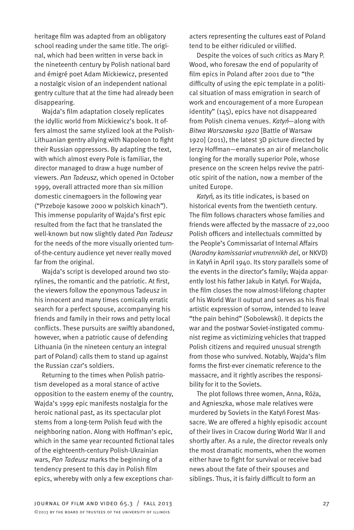heritage film was adapted from an obligatory school reading under the same title. The original, which had been written in verse back in the nineteenth century by Polish national bard and émigré poet Adam Mickiewicz, presented a nostalgic vision of an independent national gentry culture that at the time had already been disappearing.

Wajda's film adaptation closely replicates the idyllic world from Mickiewicz's book. It offers almost the same stylized look at the Polish-Lithuanian gentry allying with Napoleon to fight their Russian oppressors. By adapting the text, with which almost every Pole is familiar, the director managed to draw a huge number of viewers. *Pan Tadeusz*, which opened in October 1999, overall attracted more than six million domestic cinemagoers in the following year ("Przeboje kasowe 2000 w polskich kinach"). This immense popularity of Wajda's first epic resulted from the fact that he translated the well-known but now slightly dated *Pan Tadeusz* for the needs of the more visually oriented turnof-the-century audience yet never really moved far from the original.

Wajda's script is developed around two storylines, the romantic and the patriotic. At first, the viewers follow the eponymous Tadeusz in his innocent and many times comically erratic search for a perfect spouse, accompanying his friends and family in their rows and petty local conflicts. These pursuits are swiftly abandoned, however, when a patriotic cause of defending Lithuania (in the nineteen century an integral part of Poland) calls them to stand up against the Russian czar's soldiers.

Returning to the times when Polish patriotism developed as a moral stance of active opposition to the eastern enemy of the country, Wajda's 1999 epic manifests nostalgia for the heroic national past, as its spectacular plot stems from a long-term Polish feud with the neighboring nation. Along with Hoffman's epic, which in the same year recounted fictional tales of the eighteenth-century Polish-Ukrainian wars, *Pan Tadeusz* marks the beginning of a tendency present to this day in Polish film epics, whereby with only a few exceptions characters representing the cultures east of Poland tend to be either ridiculed or vilified.

Despite the voices of such critics as Mary P. Wood, who foresaw the end of popularity of film epics in Poland after 2001 due to "the difficulty of using the epic template in a political situation of mass emigration in search of work and encouragement of a more European identity" (145), epics have not disappeared from Polish cinema venues. *Katyn´*—along with *Bitwa Warszawska 1920* [Battle of Warsaw 1920] (2011), the latest 3D picture directed by Jerzy Hoffman—emanates an air of melancholic longing for the morally superior Pole, whose presence on the screen helps revive the patriotic spirit of the nation, now a member of the united Europe.

*Katyn´*, as its title indicates, is based on historical events from the twentieth century. The film follows characters whose families and friends were affected by the massacre of 22,000 Polish officers and intellectuals committed by the People's Commissariat of Internal Affairs (*Narodny komissariat vnutrennikh del*, or NKVD) in Katyń in April 1940. Its story parallels some of the events in the director's family; Wajda apparently lost his father Jakub in Katyń. For Wajda, the film closes the now almost-lifelong chapter of his World War II output and serves as his final artistic expression of sorrow, intended to leave "the pain behind" (Sobolewski). It depicts the war and the postwar Soviet-instigated communist regime as victimizing vehicles that trapped Polish citizens and required unusual strength from those who survived. Notably, Wajda's film forms the first-ever cinematic reference to the massacre, and it rightly ascribes the responsibility for it to the Soviets.

The plot follows three women, Anna, Róża, and Agnieszka, whose male relatives were murdered by Soviets in the Katyń Forest Massacre. We are offered a highly episodic account of their lives in Cracow during World War II and shortly after. As a rule, the director reveals only the most dramatic moments, when the women either have to fight for survival or receive bad news about the fate of their spouses and siblings. Thus, it is fairly difficult to form an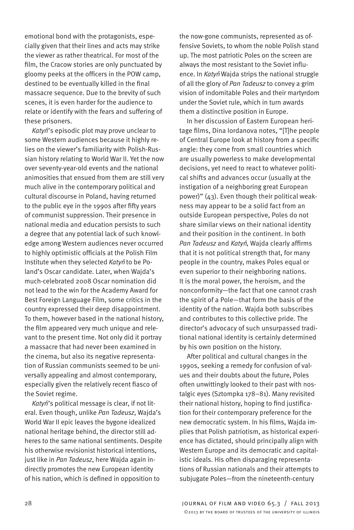emotional bond with the protagonists, especially given that their lines and acts may strike the viewer as rather theatrical. For most of the film, the Cracow stories are only punctuated by gloomy peeks at the officers in the POW camp, destined to be eventually killed in the final massacre sequence. Due to the brevity of such scenes, it is even harder for the audience to relate or identify with the fears and suffering of these prisoners.

*Katyn´*'s episodic plot may prove unclear to some Western audiences because it highly relies on the viewer's familiarity with Polish-Russian history relating to World War II. Yet the now over seventy-year-old events and the national animosities that ensued from them are still very much alive in the contemporary political and cultural discourse in Poland, having returned to the public eye in the 1990s after fifty years of communist suppression. Their presence in national media and education persists to such a degree that any potential lack of such knowledge among Western audiences never occurred to highly optimistic officials at the Polish Film Institute when they selected *Katyn´* to be Poland's Oscar candidate. Later, when Wajda's much-celebrated 2008 Oscar nomination did not lead to the win for the Academy Award for Best Foreign Language Film, some critics in the country expressed their deep disappointment. To them, however based in the national history, the film appeared very much unique and relevant to the present time. Not only did it portray a massacre that had never been examined in the cinema, but also its negative representation of Russian communists seemed to be universally appealing and almost contemporary, especially given the relatively recent fiasco of the Soviet regime.

*Katyn´*'s political message is clear, if not literal. Even though, unlike *Pan Tadeusz*, Wajda's World War II epic leaves the bygone idealized national heritage behind, the director still adheres to the same national sentiments. Despite his otherwise revisionist historical intentions, just like in *Pan Tadeusz*, here Wajda again indirectly promotes the new European identity of his nation, which is defined in opposition to

the now-gone communists, represented as offensive Soviets, to whom the noble Polish stand up. The most patriotic Poles on the screen are always the most resistant to the Soviet influence. In *Katyń* Wajda strips the national struggle of all the glory of *Pan Tadeusz* to convey a grim vision of indomitable Poles and their martyrdom under the Soviet rule, which in turn awards them a distinctive position in Europe.

In her discussion of Eastern European heritage films, Dina Iordanova notes, "[T]he people of Central Europe look at history from a specific angle: they come from small countries which are usually powerless to make developmental decisions, yet need to react to whatever political shifts and advances occur (usually at the instigation of a neighboring great European power)" (43). Even though their political weakness may appear to be a solid fact from an outside European perspective, Poles do not share similar views on their national identity and their position in the continent. In both *Pan Tadeusz* and *Katyn´*, Wajda clearly affirms that it is not political strength that, for many people in the country, makes Poles equal or even superior to their neighboring nations. It is the moral power, the heroism, and the nonconformity—the fact that one cannot crash the spirit of a Pole—that form the basis of the identity of the nation. Wajda both subscribes and contributes to this collective pride. The director's advocacy of such unsurpassed traditional national identity is certainly determined by his own position on the history.

After political and cultural changes in the 1990s, seeking a remedy for confusion of values and their doubts about the future, Poles often unwittingly looked to their past with nostalgic eyes (Sztompka 178–81). Many revisited their national history, hoping to find justification for their contemporary preference for the new democratic system. In his films, Wajda implies that Polish patriotism, as historical experience has dictated, should principally align with Western Europe and its democratic and capitalistic ideals. His often disparaging representations of Russian nationals and their attempts to subjugate Poles—from the nineteenth-century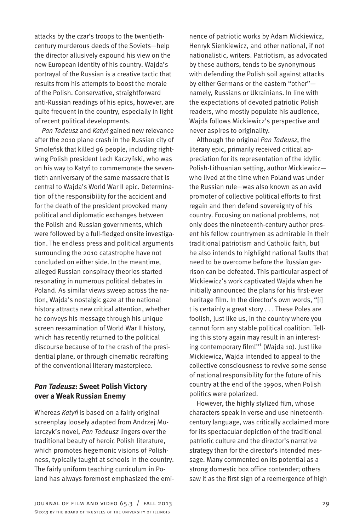attacks by the czar's troops to the twentiethcentury murderous deeds of the Soviets—help the director allusively expound his view on the new European identity of his country. Wajda's portrayal of the Russian is a creative tactic that results from his attempts to boost the morale of the Polish. Conservative, straightforward anti-Russian readings of his epics, however, are quite frequent in the country, especially in light of recent political developments.

*Pan Tadeusz* and *Katyn´* gained new relevance after the 2010 plane crash in the Russian city of Smolensk that killed 96 people, including rightwing Polish president Lech Kaczyński, who was on his way to Katyń to commemorate the seventieth anniversary of the same massacre that is central to Wajda's World War II epic. Determination of the responsibility for the accident and for the death of the president provoked many political and diplomatic exchanges between the Polish and Russian governments, which were followed by a full-fledged onsite investigation. The endless press and political arguments surrounding the 2010 catastrophe have not concluded on either side. In the meantime, alleged Russian conspiracy theories started resonating in numerous political debates in Poland. As similar views sweep across the nation, Wajda's nostalgic gaze at the national history attracts new critical attention, whether he conveys his message through his unique screen reexamination of World War II history, which has recently returned to the political discourse because of to the crash of the presidential plane, or through cinematic redrafting of the conventional literary masterpiece.

# *Pan Tadeusz***: Sweet Polish Victory over a Weak Russian Enemy**

Whereas *Katyn´* is based on a fairly original screenplay loosely adapted from Andrzej Mularczyk's novel, *Pan Tadeusz* lingers over the traditional beauty of heroic Polish literature, which promotes hegemonic visions of Polishness, typically taught at schools in the country. The fairly uniform teaching curriculum in Poland has always foremost emphasized the emi-

nence of patriotic works by Adam Mickiewicz, Henryk Sienkiewicz, and other national, if not nationalistic, writers. Patriotism, as advocated by these authors, tends to be synonymous with defending the Polish soil against attacks by either Germans or the eastern "other" namely, Russians or Ukrainians. In line with the expectations of devoted patriotic Polish readers, who mostly populate his audience, Wajda follows Mickiewicz's perspective and never aspires to originality.

Although the original *Pan Tadeusz*, the literary epic, primarily received critical appreciation for its representation of the idyllic Polish-Lithuanian setting, author Mickiewicz who lived at the time when Poland was under the Russian rule—was also known as an avid promoter of collective political efforts to first regain and then defend sovereignty of his country. Focusing on national problems, not only does the nineteenth-century author present his fellow countrymen as admirable in their traditional patriotism and Catholic faith, but he also intends to highlight national faults that need to be overcome before the Russian garrison can be defeated. This particular aspect of Mickiewicz's work captivated Wajda when he initially announced the plans for his first-ever heritage film. In the director's own words, "[i] t is certainly a great story . . . These Poles are foolish, just like us, in the country where you cannot form any stable political coalition. Telling this story again may result in an interesting contemporary film!"<sup>1</sup> (Wajda 10). Just like Mickiewicz, Wajda intended to appeal to the collective consciousness to revive some sense of national responsibility for the future of his country at the end of the 1990s, when Polish politics were polarized.

However, the highly stylized film, whose characters speak in verse and use nineteenthcentury language, was critically acclaimed more for its spectacular depiction of the traditional patriotic culture and the director's narrative strategy than for the director's intended message. Many commented on its potential as a strong domestic box office contender; others saw it as the first sign of a reemergence of high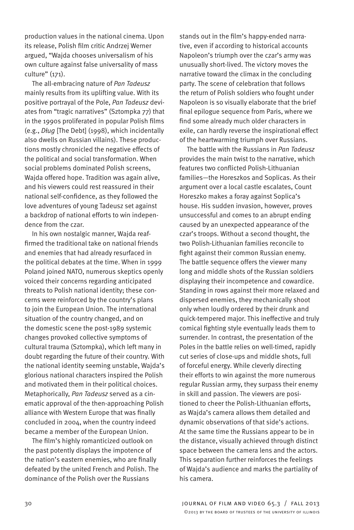production values in the national cinema. Upon its release, Polish film critic Andrzej Werner argued, "Wajda chooses universalism of his own culture against false universality of mass culture" (171).

The all-embracing nature of *Pan Tadeusz* mainly results from its uplifting value. With its positive portrayal of the Pole, *Pan Tadeusz* deviates from "tragic narratives" (Sztompka 77) that in the 1990s proliferated in popular Polish films (e.g., *Dług* [The Debt] (1998), which incidentally also dwells on Russian villains). These productions mostly chronicled the negative effects of the political and social transformation. When social problems dominated Polish screens, Wajda offered hope. Tradition was again alive, and his viewers could rest reassured in their national self-confidence, as they followed the love adventures of young Tadeusz set against a backdrop of national efforts to win independence from the czar.

In his own nostalgic manner, Wajda reaffirmed the traditional take on national friends and enemies that had already resurfaced in the political debates at the time. When in 1999 Poland joined NATO, numerous skeptics openly voiced their concerns regarding anticipated threats to Polish national identity; these concerns were reinforced by the country's plans to join the European Union. The international situation of the country changed, and on the domestic scene the post-1989 systemic changes provoked collective symptoms of cultural trauma (Sztompka), which left many in doubt regarding the future of their country. With the national identity seeming unstable, Wajda's glorious national characters inspired the Polish and motivated them in their political choices. Metaphorically, *Pan Tadeusz* served as a cinematic approval of the then-approaching Polish alliance with Western Europe that was finally concluded in 2004, when the country indeed became a member of the European Union.

The film's highly romanticized outlook on the past potently displays the impotence of the nation's eastern enemies, who are finally defeated by the united French and Polish. The dominance of the Polish over the Russians

stands out in the film's happy-ended narrative, even if according to historical accounts Napoleon's triumph over the czar's army was unusually short-lived. The victory moves the narrative toward the climax in the concluding party. The scene of celebration that follows the return of Polish soldiers who fought under Napoleon is so visually elaborate that the brief final epilogue sequence from Paris, where we find some already much older characters in exile, can hardly reverse the inspirational effect of the heartwarming triumph over Russians.

The battle with the Russians in *Pan Tadeusz* provides the main twist to the narrative, which features two conflicted Polish-Lithuanian families—the Horeszkos and Soplicas. As their argument over a local castle escalates, Count Horeszko makes a foray against Soplica's house. His sudden invasion, however, proves unsuccessful and comes to an abrupt ending caused by an unexpected appearance of the czar's troops. Without a second thought, the two Polish-Lithuanian families reconcile to fight against their common Russian enemy. The battle sequence offers the viewer many long and middle shots of the Russian soldiers displaying their incompetence and cowardice. Standing in rows against their more relaxed and dispersed enemies, they mechanically shoot only when loudly ordered by their drunk and quick-tempered major. This ineffective and truly comical fighting style eventually leads them to surrender. In contrast, the presentation of the Poles in the battle relies on well-timed, rapidly cut series of close-ups and middle shots, full of forceful energy. While cleverly directing their efforts to win against the more numerous regular Russian army, they surpass their enemy in skill and passion. The viewers are positioned to cheer the Polish-Lithuanian efforts, as Wajda's camera allows them detailed and dynamic observations of that side's actions. At the same time the Russians appear to be in the distance, visually achieved through distinct space between the camera lens and the actors. This separation further reinforces the feelings of Wajda's audience and marks the partiality of his camera.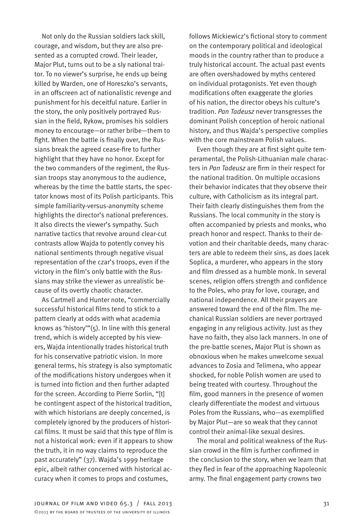Not only do the Russian soldiers lack skill, courage, and wisdom, but they are also presented as a corrupted crowd. Their leader, Major Plut, turns out to be a sly national traitor. To no viewer's surprise, he ends up being killed by Warden, one of Horeszko's servants, in an offscreen act of nationalistic revenge and punishment for his deceitful nature. Earlier in the story, the only positively portrayed Russian in the field, Rykow, promises his soldiers money to encourage—or rather bribe—them to fight. When the battle is finally over, the Russians break the agreed cease-fire to further highlight that they have no honor. Except for the two commanders of the regiment, the Russian troops stay anonymous to the audience, whereas by the time the battle starts, the spectator knows most of its Polish participants. This simple familiarity-versus-anonymity scheme highlights the director's national preferences. It also directs the viewer's sympathy. Such narrative tactics that revolve around clear-cut contrasts allow Wajda to potently convey his national sentiments through negative visual representation of the czar's troops, even if the victory in the film's only battle with the Russians may strike the viewer as unrealistic because of its overtly chaotic character.

As Cartmell and Hunter note, "commercially successful historical films tend to stick to a pattern clearly at odds with what academia knows as 'history'"(5). In line with this general trend, which is widely accepted by his viewers, Wajda intentionally trades historical truth for his conservative patriotic vision. In more general terms, his strategy is also symptomatic of the modifications history undergoes when it is turned into fiction and then further adapted for the screen. According to Pierre Sorlin, "[t] he contingent aspect of the historical tradition, with which historians are deeply concerned, is completely ignored by the producers of historical films. It must be said that this type of film is not a historical work: even if it appears to show the truth, it in no way claims to reproduce the past accurately" (37). Wajda's 1999 heritage epic, albeit rather concerned with historical accuracy when it comes to props and costumes,

follows Mickiewicz's fictional story to comment on the contemporary political and ideological moods in the country rather than to produce a truly historical account. The actual past events are often overshadowed by myths centered on individual protagonists. Yet even though modifications often exaggerate the glories of his nation, the director obeys his culture's tradition. *Pan Tadeusz* never transgresses the dominant Polish conception of heroic national history, and thus Wajda's perspective complies with the core mainstream Polish values.

Even though they are at first sight quite temperamental, the Polish-Lithuanian male characters in *Pan Tadeusz* are firm in their respect for the national tradition. On multiple occasions their behavior indicates that they observe their culture, with Catholicism as its integral part. Their faith clearly distinguishes them from the Russians. The local community in the story is often accompanied by priests and monks, who preach honor and respect. Thanks to their devotion and their charitable deeds, many characters are able to redeem their sins, as does Jacek Soplica, a murderer, who appears in the story and film dressed as a humble monk. In several scenes, religion offers strength and confidence to the Poles, who pray for love, courage, and national independence. All their prayers are answered toward the end of the film. The mechanical Russian soldiers are never portrayed engaging in any religious activity. Just as they have no faith, they also lack manners. In one of the pre-battle scenes, Major Plut is shown as obnoxious when he makes unwelcome sexual advances to Zosia and Telimena, who appear shocked, for noble Polish women are used to being treated with courtesy. Throughout the film, good manners in the presence of women clearly differentiate the modest and virtuous Poles from the Russians, who—as exemplified by Major Plut—are so weak that they cannot control their animal-like sexual desires.

The moral and political weakness of the Russian crowd in the film is further confirmed in the conclusion to the story, when we learn that they fled in fear of the approaching Napoleonic army. The final engagement party crowns two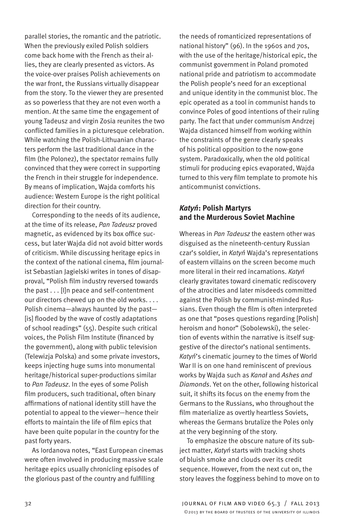parallel stories, the romantic and the patriotic. When the previously exiled Polish soldiers come back home with the French as their allies, they are clearly presented as victors. As the voice-over praises Polish achievements on the war front, the Russians virtually disappear from the story. To the viewer they are presented as so powerless that they are not even worth a mention. At the same time the engagement of young Tadeusz and virgin Zosia reunites the two conflicted families in a picturesque celebration. While watching the Polish-Lithuanian characters perform the last traditional dance in the film (the Polonez), the spectator remains fully convinced that they were correct in supporting the French in their struggle for independence. By means of implication, Wajda comforts his audience: Western Europe is the right political direction for their country.

Corresponding to the needs of its audience, at the time of its release, *Pan Tadeusz* proved magnetic, as evidenced by its box office success, but later Wajda did not avoid bitter words of criticism. While discussing heritage epics in the context of the national cinema, film journalist Sebastian Jagielski writes in tones of disapproval, "Polish film industry reversed towards the past . . . [I]n peace and self-contentment our directors chewed up on the old works. . . . Polish cinema—always haunted by the past— [is] flooded by the wave of costly adaptations of school readings" (55). Despite such critical voices, the Polish Film Institute (financed by the government), along with public television (Telewizja Polska) and some private investors, keeps injecting huge sums into monumental heritage/historical super-productions similar to *Pan Tadeusz*. In the eyes of some Polish film producers, such traditional, often binary affirmations of national identity still have the potential to appeal to the viewer—hence their efforts to maintain the life of film epics that have been quite popular in the country for the past forty years.

As Iordanova notes, "East European cinemas were often involved in producing massive scale heritage epics usually chronicling episodes of the glorious past of the country and fulfilling

the needs of romanticized representations of national history" (96). In the 1960s and 70s, with the use of the heritage/historical epic, the communist government in Poland promoted national pride and patriotism to accommodate the Polish people's need for an exceptional and unique identity in the communist bloc. The epic operated as a tool in communist hands to convince Poles of good intentions of their ruling party. The fact that under communism Andrzej Wajda distanced himself from working within the constraints of the genre clearly speaks of his political opposition to the now-gone system. Paradoxically, when the old political stimuli for producing epics evaporated, Wajda turned to this very film template to promote his anticommunist convictions.

## *Katyn´***: Polish Martyrs and the Murderous Soviet Machine**

Whereas in *Pan Tadeusz* the eastern other was disguised as the nineteenth-century Russian czar's soldier, in *Katyn´* Wajda's representations of eastern villains on the screen become much more literal in their red incarnations. *Katyn´* clearly gravitates toward cinematic rediscovery of the atrocities and later misdeeds committed against the Polish by communist-minded Russians. Even though the film is often interpreted as one that "poses questions regarding [Polish] heroism and honor" (Sobolewski), the selection of events within the narrative is itself suggestive of the director's national sentiments. *Katyn´*'s cinematic journey to the times of World War II is on one hand reminiscent of previous works by Wajda such as *Kanał* and *Ashes and Diamonds*. Yet on the other, following historical suit, it shifts its focus on the enemy from the Germans to the Russians, who throughout the film materialize as overtly heartless Soviets, whereas the Germans brutalize the Poles only at the very beginning of the story.

To emphasize the obscure nature of its subject matter, *Katyń* starts with tracking shots of bluish smoke and clouds over its credit sequence. However, from the next cut on, the story leaves the fogginess behind to move on to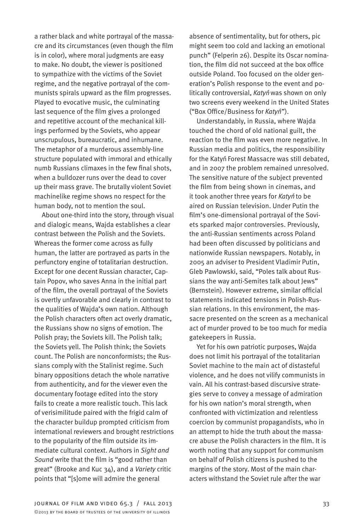a rather black and white portrayal of the massacre and its circumstances (even though the film is in color), where moral judgments are easy to make. No doubt, the viewer is positioned to sympathize with the victims of the Soviet regime, and the negative portrayal of the communists spirals upward as the film progresses. Played to evocative music, the culminating last sequence of the film gives a prolonged and repetitive account of the mechanical killings performed by the Soviets, who appear unscrupulous, bureaucratic, and inhumane. The metaphor of a murderous assembly-line structure populated with immoral and ethically numb Russians climaxes in the few final shots, when a bulldozer runs over the dead to cover up their mass grave. The brutally violent Soviet machinelike regime shows no respect for the human body, not to mention the soul.

About one-third into the story, through visual and dialogic means, Wajda establishes a clear contrast between the Polish and the Soviets. Whereas the former come across as fully human, the latter are portrayed as parts in the perfunctory engine of totalitarian destruction. Except for one decent Russian character, Captain Popov, who saves Anna in the initial part of the film, the overall portrayal of the Soviets is overtly unfavorable and clearly in contrast to the qualities of Wajda's own nation. Although the Polish characters often act overly dramatic, the Russians show no signs of emotion. The Polish pray; the Soviets kill. The Polish talk; the Soviets yell. The Polish think; the Soviets count. The Polish are nonconformists; the Russians comply with the Stalinist regime. Such binary oppositions detach the whole narrative from authenticity, and for the viewer even the documentary footage edited into the story fails to create a more realistic touch. This lack of verisimilitude paired with the frigid calm of the character buildup prompted criticism from international reviewers and brought restrictions to the popularity of the film outside its immediate cultural context. Authors in *Sight and Sound* write that the film is "good rather than great" (Brooke and Kuc 34), and a *Variety* critic points that "[s]ome will admire the general

absence of sentimentality, but for others, pic might seem too cold and lacking an emotional punch" (Felperin 26). Despite its Oscar nomination, the film did not succeed at the box office outside Poland. Too focused on the older generation's Polish response to the event and politically controversial, *Katyń* was shown on only two screens every weekend in the United States ("Box Office/Business for *Katyn´*").

Understandably, in Russia, where Wajda touched the chord of old national guilt, the reaction to the film was even more negative. In Russian media and politics, the responsibility for the Katyń Forest Massacre was still debated, and in 2007 the problem remained unresolved. The sensitive nature of the subject prevented the film from being shown in cinemas, and it took another three years for *Katyn´* to be aired on Russian television. Under Putin the film's one-dimensional portrayal of the Soviets sparked major controversies. Previously, the anti-Russian sentiments across Poland had been often discussed by politicians and nationwide Russian newspapers. Notably, in 2005 an adviser to President Vladimir Putin, Gleb Pawlowski, said, "Poles talk about Russians the way anti-Semites talk about Jews" (Bernstein). However extreme, similar official statements indicated tensions in Polish-Russian relations. In this environment, the massacre presented on the screen as a mechanical act of murder proved to be too much for media gatekeepers in Russia.

Yet for his own patriotic purposes, Wajda does not limit his portrayal of the totalitarian Soviet machine to the main act of distasteful violence, and he does not vilify communists in vain. All his contrast-based discursive strategies serve to convey a message of admiration for his own nation's moral strength, when confronted with victimization and relentless coercion by communist propagandists, who in an attempt to hide the truth about the massacre abuse the Polish characters in the film. It is worth noting that any support for communism on behalf of Polish citizens is pushed to the margins of the story. Most of the main characters withstand the Soviet rule after the war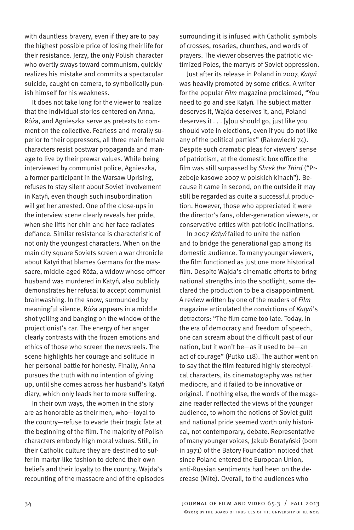with dauntless bravery, even if they are to pay the highest possible price of losing their life for their resistance. Jerzy, the only Polish character who overtly sways toward communism, quickly realizes his mistake and commits a spectacular suicide, caught on camera, to symbolically punish himself for his weakness.

It does not take long for the viewer to realize that the individual stories centered on Anna, Róża, and Agnieszka serve as pretexts to comment on the collective. Fearless and morally superior to their oppressors, all three main female characters resist postwar propaganda and manage to live by their prewar values. While being interviewed by communist police, Agnieszka, a former participant in the Warsaw Uprising, refuses to stay silent about Soviet involvement in Katyń, even though such insubordination will get her arrested. One of the close-ups in the interview scene clearly reveals her pride, when she lifts her chin and her face radiates defiance. Similar resistance is characteristic of not only the youngest characters. When on the main city square Soviets screen a war chronicle about Katyń that blames Germans for the massacre, middle-aged Róża, a widow whose officer husband was murdered in Katyn, also publicly demonstrates her refusal to accept communist brainwashing. In the snow, surrounded by meaningful silence, Róża appears in a middle shot yelling and banging on the window of the projectionist's car. The energy of her anger clearly contrasts with the frozen emotions and ethics of those who screen the newsreels. The scene highlights her courage and solitude in her personal battle for honesty. Finally, Anna pursues the truth with no intention of giving up, until she comes across her husband's Katyń diary, which only leads her to more suffering.

In their own ways, the women in the story are as honorable as their men, who—loyal to the country—refuse to evade their tragic fate at the beginning of the film. The majority of Polish characters embody high moral values. Still, in their Catholic culture they are destined to suffer in martyr-like fashion to defend their own beliefs and their loyalty to the country. Wajda's recounting of the massacre and of the episodes surrounding it is infused with Catholic symbols of crosses, rosaries, churches, and words of prayers. The viewer observes the patriotic victimized Poles, the martyrs of Soviet oppression.

Just after its release in Poland in 2007, *Katyn´* was heavily promoted by some critics. A writer for the popular *Film* magazine proclaimed, "You need to go and see Katyń. The subject matter deserves it, Wajda deserves it, and, Poland deserves it . . . [y]ou should go, just like you should vote in elections, even if you do not like any of the political parties" (Rakowiecki 74). Despite such dramatic pleas for viewers' sense of patriotism, at the domestic box office the film was still surpassed by *Shrek the Third* ("Przeboje kasowe 2007 w polskich kinach"). Because it came in second, on the outside it may still be regarded as quite a successful production. However, those who appreciated it were the director's fans, older-generation viewers, or conservative critics with patriotic inclinations.

In 2007 *Katyn´* failed to unite the nation and to bridge the generational gap among its domestic audience. To many younger viewers, the film functioned as just one more historical film. Despite Wajda's cinematic efforts to bring national strengths into the spotlight, some declared the production to be a disappointment. A review written by one of the readers of *Film* magazine articulated the convictions of *Katyn´*'s detractors: "The film came too late. Today, in the era of democracy and freedom of speech, one can scream about the difficult past of our nation, but it won't be—as it used to be—an act of courage" (Putko 118). The author went on to say that the film featured highly stereotypical characters, its cinematography was rather mediocre, and it failed to be innovative or original. If nothing else, the words of the magazine reader reflected the views of the younger audience, to whom the notions of Soviet guilt and national pride seemed worth only historical, not contemporary, debate. Representative of many younger voices, Jakub Boratyński (born in 1971) of the Batory Foundation noticed that since Poland entered the European Union, anti-Russian sentiments had been on the decrease (Mite). Overall, to the audiences who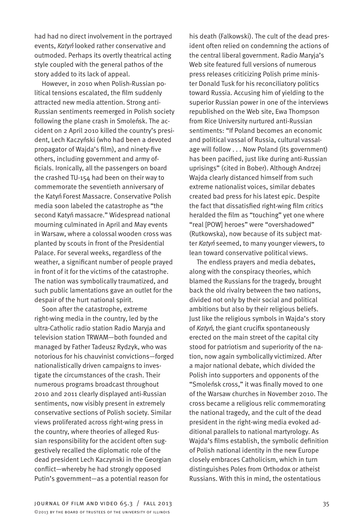had had no direct involvement in the portrayed events, *Katyn´* looked rather conservative and outmoded. Perhaps its overtly theatrical acting style coupled with the general pathos of the story added to its lack of appeal.

However, in 2010 when Polish-Russian political tensions escalated, the film suddenly attracted new media attention. Strong anti-Russian sentiments reemerged in Polish society following the plane crash in Smolensk. The accident on 2 April 2010 killed the country's president, Lech Kaczyński (who had been a devoted propagator of Wajda's film), and ninety-five others, including government and army officials. Ironically, all the passengers on board the crashed TU-154 had been on their way to commemorate the seventieth anniversary of the Katyń Forest Massacre. Conservative Polish media soon labeled the catastrophe as "the second Katyń massacre." Widespread national mourning culminated in April and May events in Warsaw, where a colossal wooden cross was planted by scouts in front of the Presidential Palace. For several weeks, regardless of the weather, a significant number of people prayed in front of it for the victims of the catastrophe. The nation was symbolically traumatized, and such public lamentations gave an outlet for the despair of the hurt national spirit.

Soon after the catastrophe, extreme right-wing media in the country, led by the ultra-Catholic radio station Radio Maryja and television station TRWAM—both founded and managed by Father Tadeusz Rydzyk, who was notorious for his chauvinist convictions—forged nationalistically driven campaigns to investigate the circumstances of the crash. Their numerous programs broadcast throughout 2010 and 2011 clearly displayed anti-Russian sentiments, now visibly present in extremely conservative sections of Polish society. Similar views proliferated across right-wing press in the country, where theories of alleged Russian responsibility for the accident often suggestively recalled the diplomatic role of the dead president Lech Kaczynski in the Georgian conflict—whereby he had strongly opposed Putin's government—as a potential reason for

his death (Falkowski). The cult of the dead president often relied on condemning the actions of the central liberal government. Radio Maryja's Web site featured full versions of numerous press releases criticizing Polish prime minister Donald Tusk for his reconciliatory politics toward Russia. Accusing him of yielding to the superior Russian power in one of the interviews republished on the Web site, Ewa Thompson from Rice University nurtured anti-Russian sentiments: "If Poland becomes an economic and political vassal of Russia, cultural vassalage will follow . . . Now Poland (its government) has been pacified, just like during anti-Russian uprisings" (cited in Bober). Although Andrzej Wajda clearly distanced himself from such extreme nationalist voices, similar debates created bad press for his latest epic. Despite the fact that dissatisfied right-wing film critics heralded the film as "touching" yet one where "real [POW] heroes" were "overshadowed" (Rutkowska), now because of its subject matter *Katyn´* seemed, to many younger viewers, to lean toward conservative political views.

The endless prayers and media debates, along with the conspiracy theories, which blamed the Russians for the tragedy, brought back the old rivalry between the two nations, divided not only by their social and political ambitions but also by their religious beliefs. Just like the religious symbols in Wajda's story of *Katyn´*, the giant crucifix spontaneously erected on the main street of the capital city stood for patriotism and superiority of the nation, now again symbolically victimized. After a major national debate, which divided the Polish into supporters and opponents of the "Smoleńsk cross," it was finally moved to one of the Warsaw churches in November 2010. The cross became a religious relic commemorating the national tragedy, and the cult of the dead president in the right-wing media evoked additional parallels to national martyrology. As Wajda's films establish, the symbolic definition of Polish national identity in the new Europe closely embraces Catholicism, which in turn distinguishes Poles from Orthodox or atheist Russians. With this in mind, the ostentatious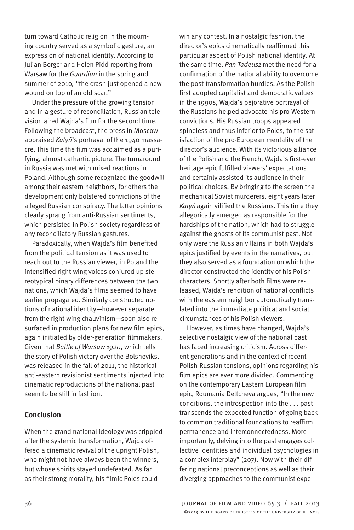turn toward Catholic religion in the mourning country served as a symbolic gesture, an expression of national identity. According to Julian Borger and Helen Pidd reporting from Warsaw for the *Guardian* in the spring and summer of 2010*,* "the crash just opened a new wound on top of an old scar."

Under the pressure of the growing tension and in a gesture of reconciliation, Russian television aired Wajda's film for the second time. Following the broadcast, the press in Moscow appraised *Katyn´*'s portrayal of the 1940 massacre. This time the film was acclaimed as a purifying, almost cathartic picture. The turnaround in Russia was met with mixed reactions in Poland. Although some recognized the goodwill among their eastern neighbors, for others the development only bolstered convictions of the alleged Russian conspiracy. The latter opinions clearly sprang from anti-Russian sentiments, which persisted in Polish society regardless of any reconciliatory Russian gestures.

Paradoxically, when Wajda's film benefited from the political tension as it was used to reach out to the Russian viewer, in Poland the intensified right-wing voices conjured up stereotypical binary differences between the two nations, which Wajda's films seemed to have earlier propagated. Similarly constructed notions of national identity—however separate from the right-wing chauvinism—soon also resurfaced in production plans for new film epics, again initiated by older-generation filmmakers. Given that *Battle of Warsaw 1920*, which tells the story of Polish victory over the Bolsheviks, was released in the fall of 2011, the historical anti-eastern revisionist sentiments injected into cinematic reproductions of the national past seem to be still in fashion.

## **Conclusion**

When the grand national ideology was crippled after the systemic transformation, Wajda offered a cinematic revival of the upright Polish, who might not have always been the winners, but whose spirits stayed undefeated. As far as their strong morality, his filmic Poles could

win any contest. In a nostalgic fashion, the director's epics cinematically reaffirmed this particular aspect of Polish national identity. At the same time, *Pan Tadeusz* met the need for a confirmation of the national ability to overcome the post-transformation hurdles. As the Polish first adopted capitalist and democratic values in the 1990s, Wajda's pejorative portrayal of the Russians helped advocate his pro-Western convictions. His Russian troops appeared spineless and thus inferior to Poles, to the satisfaction of the pro-European mentality of the director's audience. With its victorious alliance of the Polish and the French, Wajda's first-ever heritage epic fulfilled viewers' expectations and certainly assisted its audience in their political choices. By bringing to the screen the mechanical Soviet murderers, eight years later *Katyn´* again vilified the Russians. This time they allegorically emerged as responsible for the hardships of the nation, which had to struggle against the ghosts of its communist past. Not only were the Russian villains in both Wajda's epics justified by events in the narratives, but they also served as a foundation on which the director constructed the identity of his Polish characters. Shortly after both films were released, Wajda's rendition of national conflicts with the eastern neighbor automatically translated into the immediate political and social circumstances of his Polish viewers.

However, as times have changed, Wajda's selective nostalgic view of the national past has faced increasing criticism. Across different generations and in the context of recent Polish-Russian tensions, opinions regarding his film epics are ever more divided. Commenting on the contemporary Eastern European film epic, Roumania Deltcheva argues, "In the new conditions, the introspection into the . . . past transcends the expected function of going back to common traditional foundations to reaffirm permanence and interconnectedness. More importantly, delving into the past engages collective identities and individual psychologies in a complex interplay" (207). Now with their differing national preconceptions as well as their diverging approaches to the communist expe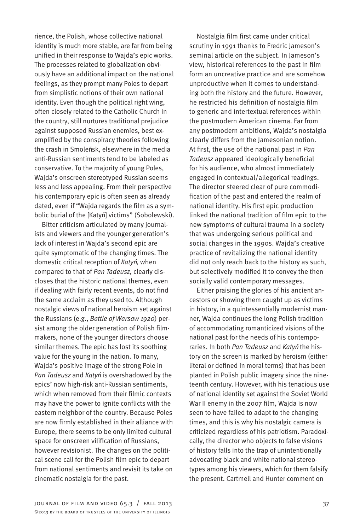rience, the Polish, whose collective national identity is much more stable, are far from being unified in their response to Wajda's epic works. The processes related to globalization obviously have an additional impact on the national feelings, as they prompt many Poles to depart from simplistic notions of their own national identity. Even though the political right wing, often closely related to the Catholic Church in the country, still nurtures traditional prejudice against supposed Russian enemies, best exemplified by the conspiracy theories following the crash in Smoleńsk, elsewhere in the media anti-Russian sentiments tend to be labeled as conservative. To the majority of young Poles, Wajda's onscreen stereotyped Russian seems less and less appealing. From their perspective his contemporary epic is often seen as already dated, even if "Wajda regards the film as a symbolic burial of the [Katyn] victims" (Sobolewski).

Bitter criticism articulated by many journalists and viewers and the younger generation's lack of interest in Wajda's second epic are quite symptomatic of the changing times. The domestic critical reception of *Katyn´*, when compared to that of *Pan Tadeusz*, clearly discloses that the historic national themes, even if dealing with fairly recent events, do not find the same acclaim as they used to. Although nostalgic views of national heroism set against the Russians (e.g., *Battle of Warsaw 1920*) persist among the older generation of Polish filmmakers, none of the younger directors choose similar themes. The epic has lost its soothing value for the young in the nation. To many, Wajda's positive image of the strong Pole in *Pan Tadeusz* and *Katyn´* is overshadowed by the epics' now high-risk anti-Russian sentiments, which when removed from their filmic contexts may have the power to ignite conflicts with the eastern neighbor of the country. Because Poles are now firmly established in their alliance with Europe, there seems to be only limited cultural space for onscreen vilification of Russians, however revisionist. The changes on the political scene call for the Polish film epic to depart from national sentiments and revisit its take on cinematic nostalgia for the past.

JOURNAL OF FILM AND VIDEO  $65.3$  / FALL 2013 37 ©2013 by the board of trustees of the university of illinois

Nostalgia film first came under critical scrutiny in 1991 thanks to Fredric Jameson's seminal article on the subject. In Jameson's view, historical references to the past in film form an uncreative practice and are somehow unproductive when it comes to understanding both the history and the future. However, he restricted his definition of nostalgia film to generic and intertextual references within the postmodern American cinema. Far from any postmodern ambitions, Wajda's nostalgia clearly differs from the Jamesonian notion. At first, the use of the national past in *Pan Tadeusz* appeared ideologically beneficial for his audience, who almost immediately engaged in contextual/allegorical readings. The director steered clear of pure commodification of the past and entered the realm of national identity. His first epic production linked the national tradition of film epic to the new symptoms of cultural trauma in a society that was undergoing serious political and social changes in the 1990s. Wajda's creative practice of revitalizing the national identity did not only reach back to the history as such, but selectively modified it to convey the then socially valid contemporary messages.

Either praising the glories of his ancient ancestors or showing them caught up as victims in history, in a quintessentially modernist manner, Wajda continues the long Polish tradition of accommodating romanticized visions of the national past for the needs of his contemporaries. In both *Pan Tadeusz* and *Katyn´* the history on the screen is marked by heroism (either literal or defined in moral terms) that has been planted in Polish public imagery since the nineteenth century. However, with his tenacious use of national identity set against the Soviet World War II enemy in the 2007 film, Wajda is now seen to have failed to adapt to the changing times, and this is why his nostalgic camera is criticized regardless of his patriotism. Paradoxically, the director who objects to false visions of history falls into the trap of unintentionally advocating black and white national stereotypes among his viewers, which for them falsify the present. Cartmell and Hunter comment on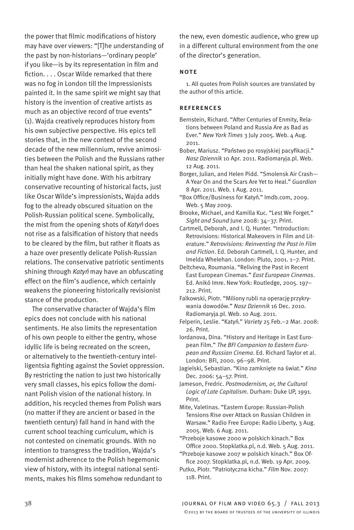the power that filmic modifications of history may have over viewers: "[T]he understanding of the past by non-historians—'ordinary people' if you like—is by its representation in film and fiction. . . . Oscar Wilde remarked that there was no fog in London till the Impressionists painted it. In the same spirit we might say that history is the invention of creative artists as much as an objective record of true events" (1). Wajda creatively reproduces history from his own subjective perspective. His epics tell stories that, in the new context of the second decade of the new millennium, revive animosities between the Polish and the Russians rather than heal the shaken national spirit, as they initially might have done. With his arbitrary conservative recounting of historical facts, just like Oscar Wilde's impressionists, Wajda adds fog to the already obscured situation on the Polish-Russian political scene. Symbolically, the mist from the opening shots of *Katyn´* does not rise as a falsification of history that needs to be cleared by the film, but rather it floats as a haze over presently delicate Polish-Russian relations. The conservative patriotic sentiments shining through *Katyn´* may have an obfuscating effect on the film's audience, which certainly weakens the pioneering historically revisionist stance of the production.

The conservative character of Wajda's film epics does not conclude with his national sentiments. He also limits the representation of his own people to either the gentry, whose idyllic life is being recreated on the screen, or alternatively to the twentieth-century intelligentsia fighting against the Soviet oppression. By restricting the nation to just two historically very small classes, his epics follow the dominant Polish vision of the national history. In addition, his recycled themes from Polish wars (no matter if they are ancient or based in the twentieth century) fall hand in hand with the current school teaching curriculum, which is not contested on cinematic grounds. With no intention to transgress the tradition, Wajda's modernist adherence to the Polish hegemonic view of history, with its integral national sentiments, makes his films somehow redundant to

the new, even domestic audience, who grew up in a different cultural environment from the one of the director's generation.

### note

1. All quotes from Polish sources are translated by the author of this article.

#### **REFERENCES**

- Bernstein, Richard. "After Centuries of Enmity, Relations between Poland and Russia Are as Bad as Ever." *New York Times* 3 July 2005. Web. 4 Aug. 2011.
- Bober, Mariusz. "Państwo po rosyjskiej pacyfikacji." *Nasz Dziennik* 10 Apr. 2011. Radiomaryja.pl. Web. 12 Aug. 2011.
- Borger, Julian, and Helen Pidd. "Smolensk Air Crash— A Year On and the Scars Are Yet to Heal." *Guardian* 8 Apr. 2011. Web. 1 Aug. 2011.
- "Box Office/Business for Katyń." Imdb.com, 2009. Web. 5 May 2009.
- Brooke, Michael, and Kamilla Kuc. "Lest We Forget." *Sight and Sound* June 2008: 34–37. Print.
- Cartmell, Deborah, and I. Q. Hunter. "Introduction: Retrovisions: Historical Makeovers in Film and Literature." *Retrovisions: Reinventing the Past in Film and Fiction*. Ed. Deborah Cartmell, I. Q. Hunter, and Imelda Whelehan. London: Pluto, 2001. 1–7. Print.
- Deltcheva, Roumania. "Reliving the Past in Recent East European Cinemas." *East European Cinemas*. Ed. Anikó Imre. New York: Routledge, 2005. 197– 212. Print.
- Falkowski, Piotr. "Miliony rubli na operację przykrywania dowodów." *Nasz Dziennik* 16 Dec. 2010. Radiomaryja.pl. Web. 10 Aug. 2011.
- Felperin, Leslie. "Katyń." Variety 25 Feb.-2 Mar. 2008: 26. Print.
- Iordanova, Dina. "History and Heritage in East European Film." *The BFI Companion to Eastern European and Russian Cinema*. Ed. Richard Taylor et al. London: BFI, 2000. 96–98. Print.
- Jagielski, Sebastian. "Kino zamknięte na świat." Kino Dec. 2006: 54–57. Print.
- Jameson, Fredric. *Postmodernism, or, the Cultural Logic of Late Capitalism*. Durham: Duke UP, 1991. Print.
- Mite, Valetinas. "Eastern Europe: Russian-Polish Tensions Rise over Attack on Russian Children in Warsaw." Radio Free Europe: Radio Liberty, 3 Aug. 2005. Web. 6 Aug. 2011.
- "Przeboje kasowe 2000 w polskich kinach." Box Office 2000. Stopklatka.pl, n.d. Web. 5 Aug. 2011.
- "Przeboje kasowe 2007 w polskich kinach." Box Office 2007. Stopklatka.pl, n.d. Web. 19 Apr. 2009.
- Putko, Piotr. "Patriotyczna kicha." *Film* Nov. 2007: 118. Print.